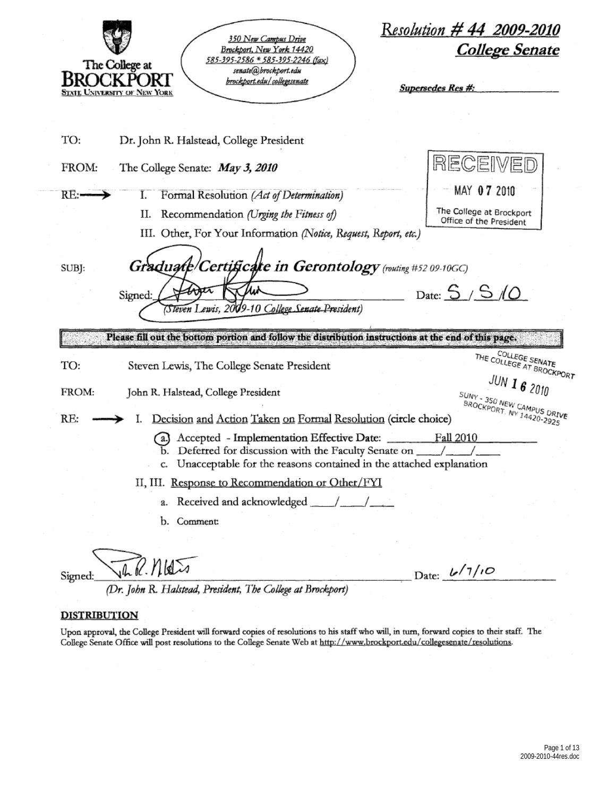| Resolution # 44 2009-2010<br><b>350 New Campus Drive</b><br>College Senate<br>Brockport, New York 14420<br>585-395-2586 * 585-395-2246 (fax)<br>The College at<br>senate@hrockport.edu<br><b>NEXPOI</b><br>brockport.edu/collegesenate<br><b>Supersedes Res #:</b><br>e University of New York |
|------------------------------------------------------------------------------------------------------------------------------------------------------------------------------------------------------------------------------------------------------------------------------------------------|
| TO:<br>Dr. John R. Halstead, College President                                                                                                                                                                                                                                                 |
| RECEIVED<br>FROM:<br>The College Senate: May 3, 2010                                                                                                                                                                                                                                           |
| MAY 07 2010<br>RE:<br>Formal Resolution (Act of Determination)<br>L.                                                                                                                                                                                                                           |
| The College at Brockport<br>Recommendation (Urging the Fitness of)<br>П.<br>Office of the President                                                                                                                                                                                            |
| III. Other, For Your Information (Notice, Request, Report, etc.)                                                                                                                                                                                                                               |
| Graduate/Certificate in Gerontology (routing #52 09-10GC)<br>SUBJ:                                                                                                                                                                                                                             |
| Date: $S/S/O$<br>Signed:<br>(Steven Lewis, 2009-10 College Senate President)                                                                                                                                                                                                                   |
| Please fill out the bottom portion and follow the distribution instructions at the end of this page.                                                                                                                                                                                           |
| <b>ENGLINE COLLEGE SENATE</b><br>THE COLLEGE AT BROCKPORT<br>TO:<br>Steven Lewis, The College Senate President                                                                                                                                                                                 |
| JUN I 6 2010<br>FROM:<br>John R. Halstead, College President                                                                                                                                                                                                                                   |
| SUNY - 350 NEW CAMPUS DRIVE<br>- BROCKPORT, NY 14420-2925<br>RE:<br>Decision and Action Taken on Formal Resolution (circle choice)                                                                                                                                                             |
| Accepted - Implementation Effective Date: Fall 2010<br>c. Unacceptable for the reasons contained in the attached explanation                                                                                                                                                                   |
| II, III. Response to Recommendation or Other/FYI                                                                                                                                                                                                                                               |
|                                                                                                                                                                                                                                                                                                |
| b. Comment:                                                                                                                                                                                                                                                                                    |
|                                                                                                                                                                                                                                                                                                |
| $R$ . Mats<br>Date: $\frac{L}{7}$<br>Signed:                                                                                                                                                                                                                                                   |

(Dr. John R. Halstead, President, The College at Brockport)

#### **DISTRIBUTION**

Upon approval, the College President will forward copies of resolutions to his staff who will, in turn, forward copies to their staff. The College Senate Office will post resolutions to the College Senate Web at http://www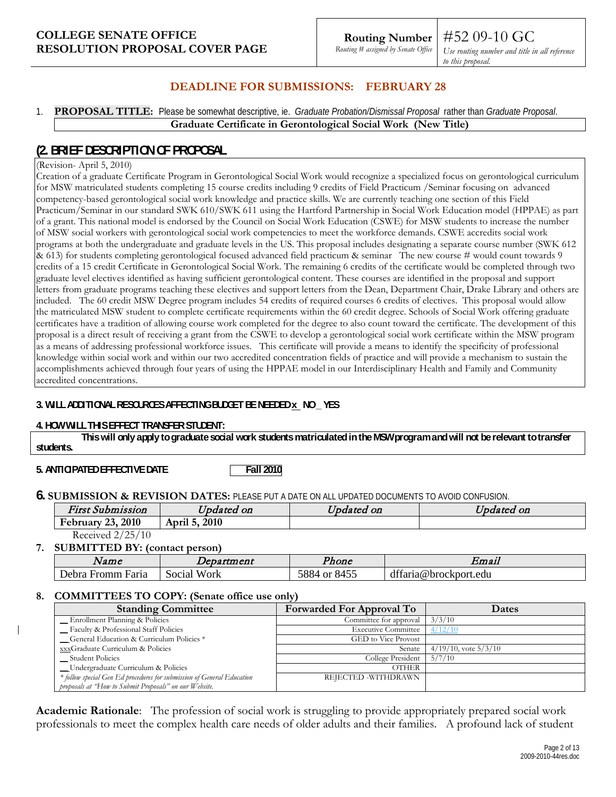*Use routing number and title in all reference to this proposal.*

#52 09-10 GC

## **DEADLINE FOR SUBMISSIONS: FEBRUARY 28**

1. **PROPOSAL TITLE:** Please be somewhat descriptive, ie. *Graduate Probation/Dismissal Proposal* rather than *Graduate Proposal*. **Graduate Certificate in Gerontological Social Work (New Title)**

# **(2. BRIEF DESCRIPTION OF PROPOSAL**

#### (Revision- April 5, 2010)

Creation of a graduate Certificate Program in Gerontological Social Work would recognize a specialized focus on gerontological curriculum for MSW matriculated students completing 15 course credits including 9 credits of Field Practicum /Seminar focusing on advanced competency-based gerontological social work knowledge and practice skills. We are currently teaching one section of this Field Practicum/Seminar in our standard SWK 610/SWK 611 using the Hartford Partnership in Social Work Education model (HPPAE) as part of a grant. This national model is endorsed by the Council on Social Work Education (CSWE) for MSW students to increase the number of MSW social workers with gerontological social work competencies to meet the workforce demands. CSWE accredits social work programs at both the undergraduate and graduate levels in the US. This proposal includes designating a separate course number (SWK 612 & 613) for students completing gerontological focused advanced field practicum & seminar The new course # would count towards 9 credits of a 15 credit Certificate in Gerontological Social Work. The remaining 6 credits of the certificate would be completed through two graduate level electives identified as having sufficient gerontological content. These courses are identified in the proposal and support letters from graduate programs teaching these electives and support letters from the Dean, Department Chair, Drake Library and others are included. The 60 credit MSW Degree program includes 54 credits of required courses 6 credits of electives. This proposal would allow the matriculated MSW student to complete certificate requirements within the 60 credit degree. Schools of Social Work offering graduate certificates have a tradition of allowing course work completed for the degree to also count toward the certificate. The development of this proposal is a direct result of receiving a grant from the CSWE to develop a gerontological social work certificate within the MSW program as a means of addressing professional workforce issues. This certificate will provide a means to identify the specificity of professional knowledge within social work and within our two accredited concentration fields of practice and will provide a mechanism to sustain the accomplishments achieved through four years of using the HPPAE model in our Interdisciplinary Health and Family and Community accredited concentrations.

#### **3. WILL ADDITIONAL RESOURCES AFFECTING BUDGET BE NEEDED x NO \_ YES**

#### **4. HOW WILL THIS EFFECT TRANSFER STUDENT:**

**This will only apply to graduate social work students matriculated in the MSW program and will not be relevant to transfer students.**

#### **5. ANTICIPATED EFFECTIVE DATE Fall 2010**

**6. SUBMISSION & REVISION DATES:** PLEASE PUT A DATE ON ALL UPDATED DOCUMENTS TO AVOID CONFUSION.

| First Submission         | Updated on    | <i>Jpdated on</i> | Updated on |
|--------------------------|---------------|-------------------|------------|
| 2010<br>23,<br>February. | April 5, 2010 |                   |            |

Received 2/25/10

## **7. SUBMITTED BY: (contact person)**

| Name              | Department     | Phone        | Email                 |
|-------------------|----------------|--------------|-----------------------|
| Debra Fromm Faria | Work<br>Social | 5884 or 8455 | dffaria@brockport.edu |

**8. COMMITTEES TO COPY: (Senate office use only)**

| <b>Standing Committee</b>                                              | <b>Forwarded For Approval To</b> | <b>Dates</b>              |
|------------------------------------------------------------------------|----------------------------------|---------------------------|
| _ Enrollment Planning & Policies                                       | Committee for approval           | 3/3/10                    |
| - Faculty & Professional Staff Policies                                | <b>Executive Committee</b>       | 4/12/10                   |
| General Education & Curriculum Policies *                              | GED to Vice Provost              |                           |
| xxxGraduate Curriculum & Policies                                      | Senate                           | $4/19/10$ , vote $5/3/10$ |
| __ Student Policies                                                    | College President                | 5/7/10                    |
| Undergraduate Curriculum & Policies                                    | <b>OTHER</b>                     |                           |
| * follow special Gen Ed procedures for submission of General Education | REJECTED -WITHDRAWN              |                           |
| proposals at 'How to Submit Proposals" on our Website.                 |                                  |                           |

**Academic Rationale**: The profession of social work is struggling to provide appropriately prepared social work professionals to meet the complex health care needs of older adults and their families. A profound lack of student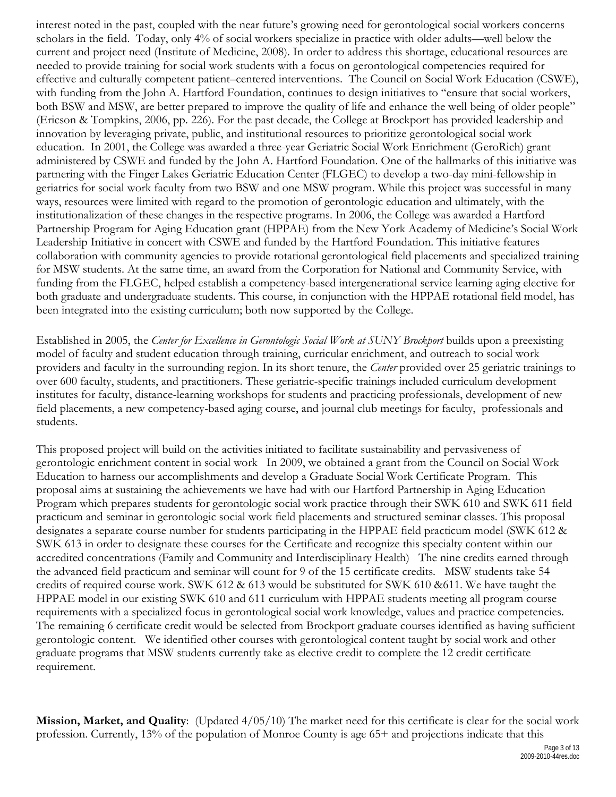interest noted in the past, coupled with the near future's growing need for gerontological social workers concerns scholars in the field. Today, only 4% of social workers specialize in practice with older adults—well below the current and project need (Institute of Medicine, 2008). In order to address this shortage, educational resources are needed to provide training for social work students with a focus on gerontological competencies required for effective and culturally competent patient–centered interventions. The Council on Social Work Education (CSWE), with funding from the John A. Hartford Foundation, continues to design initiatives to "ensure that social workers, both BSW and MSW, are better prepared to improve the quality of life and enhance the well being of older people" (Ericson & Tompkins, 2006, pp. 226). For the past decade, the College at Brockport has provided leadership and innovation by leveraging private, public, and institutional resources to prioritize gerontological social work education. In 2001, the College was awarded a three-year Geriatric Social Work Enrichment (GeroRich) grant administered by CSWE and funded by the John A. Hartford Foundation. One of the hallmarks of this initiative was partnering with the Finger Lakes Geriatric Education Center (FLGEC) to develop a two-day mini-fellowship in geriatrics for social work faculty from two BSW and one MSW program. While this project was successful in many ways, resources were limited with regard to the promotion of gerontologic education and ultimately, with the institutionalization of these changes in the respective programs. In 2006, the College was awarded a Hartford Partnership Program for Aging Education grant (HPPAE) from the New York Academy of Medicine's Social Work Leadership Initiative in concert with CSWE and funded by the Hartford Foundation. This initiative features collaboration with community agencies to provide rotational gerontological field placements and specialized training for MSW students. At the same time, an award from the Corporation for National and Community Service, with funding from the FLGEC, helped establish a competency-based intergenerational service learning aging elective for both graduate and undergraduate students. This course, in conjunction with the HPPAE rotational field model, has been integrated into the existing curriculum; both now supported by the College.

Established in 2005, the *Center for Excellence in Gerontologic Social Work at SUNY Brockport* builds upon a preexisting model of faculty and student education through training, curricular enrichment, and outreach to social work providers and faculty in the surrounding region. In its short tenure, the *Center* provided over 25 geriatric trainings to over 600 faculty, students, and practitioners. These geriatric-specific trainings included curriculum development institutes for faculty, distance-learning workshops for students and practicing professionals, development of new field placements, a new competency-based aging course, and journal club meetings for faculty, professionals and students.

This proposed project will build on the activities initiated to facilitate sustainability and pervasiveness of gerontologic enrichment content in social work In 2009, we obtained a grant from the Council on Social Work Education to harness our accomplishments and develop a Graduate Social Work Certificate Program. This proposal aims at sustaining the achievements we have had with our Hartford Partnership in Aging Education Program which prepares students for gerontologic social work practice through their SWK 610 and SWK 611 field practicum and seminar in gerontologic social work field placements and structured seminar classes. This proposal designates a separate course number for students participating in the HPPAE field practicum model (SWK 612 & SWK 613 in order to designate these courses for the Certificate and recognize this specialty content within our accredited concentrations (Family and Community and Interdisciplinary Health) The nine credits earned through the advanced field practicum and seminar will count for 9 of the 15 certificate credits. MSW students take 54 credits of required course work. SWK 612 & 613 would be substituted for SWK 610 &611. We have taught the HPPAE model in our existing SWK 610 and 611 curriculum with HPPAE students meeting all program course requirements with a specialized focus in gerontological social work knowledge, values and practice competencies. The remaining 6 certificate credit would be selected from Brockport graduate courses identified as having sufficient gerontologic content. We identified other courses with gerontological content taught by social work and other graduate programs that MSW students currently take as elective credit to complete the 12 credit certificate requirement.

**Mission, Market, and Quality**: (Updated 4/05/10) The market need for this certificate is clear for the social work profession. Currently, 13% of the population of Monroe County is age 65+ and projections indicate that this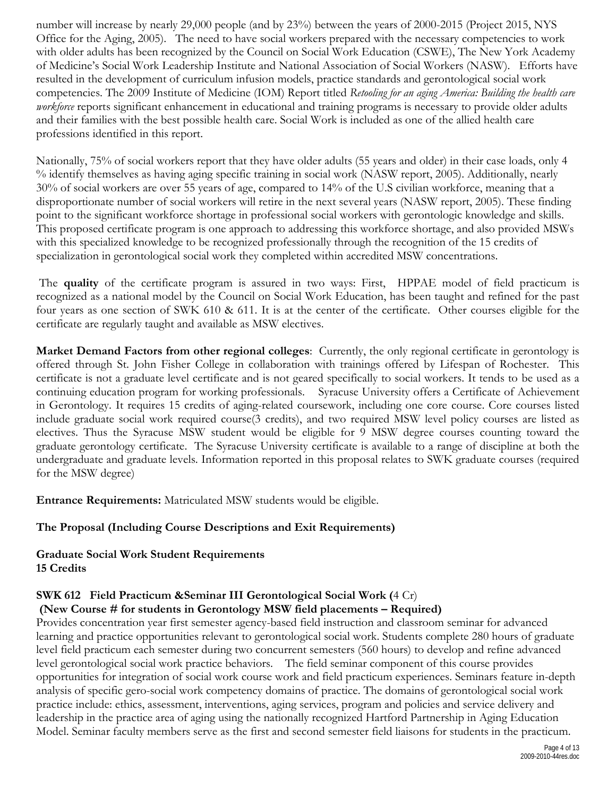number will increase by nearly 29,000 people (and by 23%) between the years of 2000-2015 (Project 2015, NYS Office for the Aging, 2005). The need to have social workers prepared with the necessary competencies to work with older adults has been recognized by the Council on Social Work Education (CSWE), The New York Academy of Medicine's Social Work Leadership Institute and National Association of Social Workers (NASW). Efforts have resulted in the development of curriculum infusion models, practice standards and gerontological social work competencies. The 2009 Institute of Medicine (IOM) Report titled *Retooling for an aging America: Building the health care workforce* reports significant enhancement in educational and training programs is necessary to provide older adults and their families with the best possible health care. Social Work is included as one of the allied health care professions identified in this report.

Nationally, 75% of social workers report that they have older adults (55 years and older) in their case loads, only 4 % identify themselves as having aging specific training in social work (NASW report, 2005). Additionally, nearly 30% of social workers are over 55 years of age, compared to 14% of the U.S civilian workforce, meaning that a disproportionate number of social workers will retire in the next several years (NASW report, 2005). These finding point to the significant workforce shortage in professional social workers with gerontologic knowledge and skills. This proposed certificate program is one approach to addressing this workforce shortage, and also provided MSWs with this specialized knowledge to be recognized professionally through the recognition of the 15 credits of specialization in gerontological social work they completed within accredited MSW concentrations.

The **quality** of the certificate program is assured in two ways: First, HPPAE model of field practicum is recognized as a national model by the Council on Social Work Education, has been taught and refined for the past four years as one section of SWK 610 & 611. It is at the center of the certificate. Other courses eligible for the certificate are regularly taught and available as MSW electives.

**Market Demand Factors from other regional colleges**: Currently, the only regional certificate in gerontology is offered through St. John Fisher College in collaboration with trainings offered by Lifespan of Rochester. This certificate is not a graduate level certificate and is not geared specifically to social workers. It tends to be used as a continuing education program for working professionals. Syracuse University offers a Certificate of Achievement in Gerontology. It requires 15 credits of aging-related coursework, including one core course. Core courses listed include graduate social work required course(3 credits), and two required MSW level policy courses are listed as electives. Thus the Syracuse MSW student would be eligible for 9 MSW degree courses counting toward the graduate gerontology certificate. The Syracuse University certificate is available to a range of discipline at both the undergraduate and graduate levels. Information reported in this proposal relates to SWK graduate courses (required for the MSW degree)

**Entrance Requirements:** Matriculated MSW students would be eligible.

## **The Proposal (Including Course Descriptions and Exit Requirements)**

## **Graduate Social Work Student Requirements 15 Credits**

#### **SWK 612 Field Practicum &Seminar III Gerontological Social Work (**4 Cr) **(New Course # for students in Gerontology MSW field placements – Required)**

Provides concentration year first semester agency-based field instruction and classroom seminar for advanced learning and practice opportunities relevant to gerontological social work. Students complete 280 hours of graduate level field practicum each semester during two concurrent semesters (560 hours) to develop and refine advanced level gerontological social work practice behaviors. The field seminar component of this course provides opportunities for integration of social work course work and field practicum experiences. Seminars feature in-depth analysis of specific gero-social work competency domains of practice. The domains of gerontological social work practice include: ethics, assessment, interventions, aging services, program and policies and service delivery and leadership in the practice area of aging using the nationally recognized Hartford Partnership in Aging Education Model. Seminar faculty members serve as the first and second semester field liaisons for students in the practicum.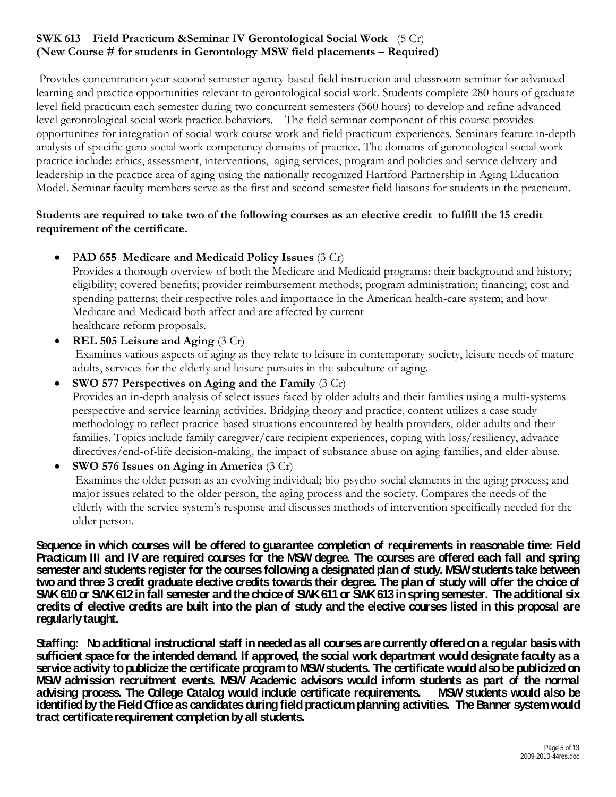## **SWK 613 Field Practicum &Seminar IV Gerontological Social Work** (5 Cr) **(New Course # for students in Gerontology MSW field placements – Required)**

Provides concentration year second semester agency-based field instruction and classroom seminar for advanced learning and practice opportunities relevant to gerontological social work. Students complete 280 hours of graduate level field practicum each semester during two concurrent semesters (560 hours) to develop and refine advanced level gerontological social work practice behaviors. The field seminar component of this course provides opportunities for integration of social work course work and field practicum experiences. Seminars feature in-depth analysis of specific gero-social work competency domains of practice. The domains of gerontological social work practice include: ethics, assessment, interventions, aging services, program and policies and service delivery and leadership in the practice area of aging using the nationally recognized Hartford Partnership in Aging Education Model. Seminar faculty members serve as the first and second semester field liaisons for students in the practicum.

## **Students are required to take two of the following courses as an elective credit to fulfill the 15 credit requirement of the certificate.**

• P**AD 655 Medicare and Medicaid Policy Issues** (3 Cr)

Provides a thorough overview of both the Medicare and Medicaid programs: their background and history; eligibility; covered benefits; provider reimbursement methods; program administration; financing; cost and spending patterns; their respective roles and importance in the American health-care system; and how Medicare and Medicaid both affect and are affected by current healthcare reform proposals.

• **REL 505 Leisure and Aging** (3 Cr) Examines various aspects of aging as they relate to leisure in contemporary society, leisure needs of mature adults, services for the elderly and leisure pursuits in the subculture of aging.

• **SWO 577 Perspectives on Aging and the Family** (3 Cr) Provides an in-depth analysis of select issues faced by older adults and their families using a multi-systems perspective and service learning activities. Bridging theory and practice, content utilizes a case study methodology to reflect practice-based situations encountered by health providers, older adults and their families. Topics include family caregiver/care recipient experiences, coping with loss/resiliency, advance directives/end-of-life decision-making, the impact of substance abuse on aging families, and elder abuse.

• **SWO 576 Issues on Aging in America** (3 Cr) Examines the older person as an evolving individual; bio-psycho-social elements in the aging process; and major issues related to the older person, the aging process and the society. Compares the needs of the elderly with the service system's response and discusses methods of intervention specifically needed for the older person.

**Sequence in which courses will be offered to guarantee completion of requirements in reasonable time: Field Practicum III and IV are required courses for the MSW degree. The courses are offered each fall and spring semester and students register for the courses following a designated plan of study. MSW students take between two and three 3 credit graduate elective credits towards their degree. The plan of study will offer the choice of SWK 610 or SWK 612 in fall semester and the choice of SWK 611 or SWK 613 in spring semester. The additional six credits of elective credits are built into the plan of study and the elective courses listed in this proposal are regularly taught.** 

**Staffing: No additional instructional staff in needed as all courses are currently offered on a regular basis with sufficient space for the intended demand. If approved, the social work department would designate faculty as a service activity to publicize the certificate program toMSW students. The certificate would also be publicized on MSW admission recruitment events. MSW Academic advisors would inform students as part of the normal**  advising process. The College Catalog would include certificate requirements. **identified by the Field Office as candidates during field practicum planning activities. The Banner system would tract certificate requirement completion by all students.**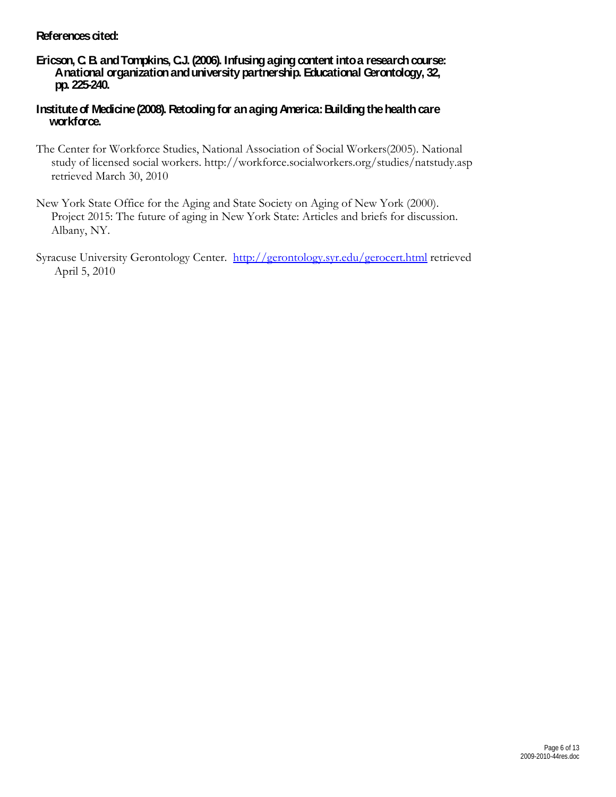## **References cited:**

## **Ericson, C. B. and Tompkins, C.J. (2006). Infusing aging content into a research course: A national organization and university partnership. Educational Gerontology, 32, pp. 225-240.**

## **Institute of Medicine (2008). Retooling for an aging America: Building the health care workforce.**

- The Center for Workforce Studies, National Association of Social Workers(2005). National study of licensed social workers. http://workforce.socialworkers.org/studies/natstudy.asp retrieved March 30, 2010
- New York State Office for the Aging and State Society on Aging of New York (2000). Project 2015: The future of aging in New York State: Articles and briefs for discussion. Albany, NY.
- Syracuse University Gerontology Center. <http://gerontology.syr.edu/gerocert.html> retrieved April 5, 2010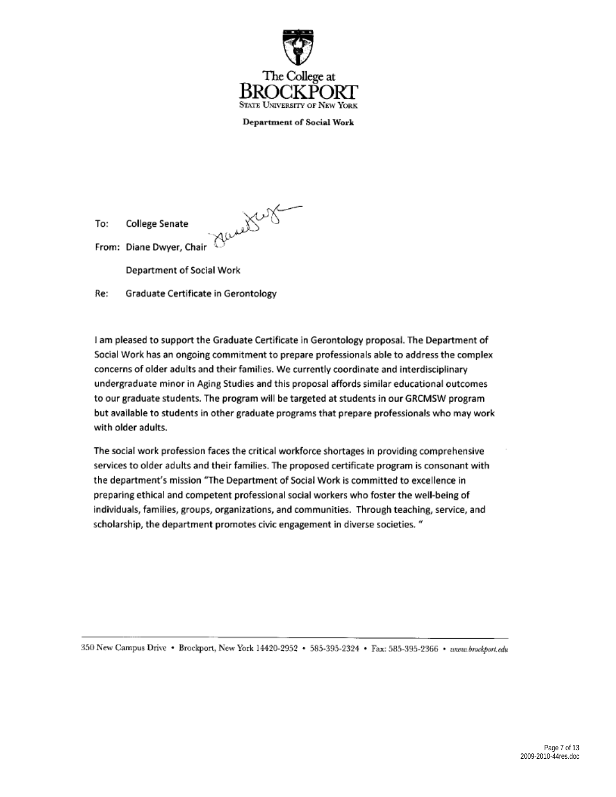

**Department or Social Work** 

To: College Senate From: Diane Dwyer, Chair COMEX<br>From: Diane Dwyer, Chair

Department of Social Work

Re: Graduate Certificate in Gerontology

I am pleased to support the Graduate Certificate in Gerontology proposal. The Department of Social Work has an ongoing commitment to prepare professionals able to address the complex concerns of older adults and their families. We currently coordinate and Interdisciplinary undergraduate minor in Aglng Studies and this proposal affords similar educational outcomes to our graduate students. The program will be targeted at students in our GRCMSW program but available to students in other graduate programs that prepare professionals who may work with older adults.

The social work profession faces the critical workforce shortages in providing comprehensive services to older adults and their families. The proposed certificate program is consonant with the department's mission "The Department of Social Work is committed to excellence in preparing ethical and competent professional social workers who foster the well-being of individuals, families, groups, organizations, and communities. Through teaching, service, and scholarship, the department promotes civic engagement in diverse societies. "

350 New Campus Drive • Brockport, New York 14420-2952 • 585-395-2324 • Fax: 585-395-2366 • *www.brockport.edu*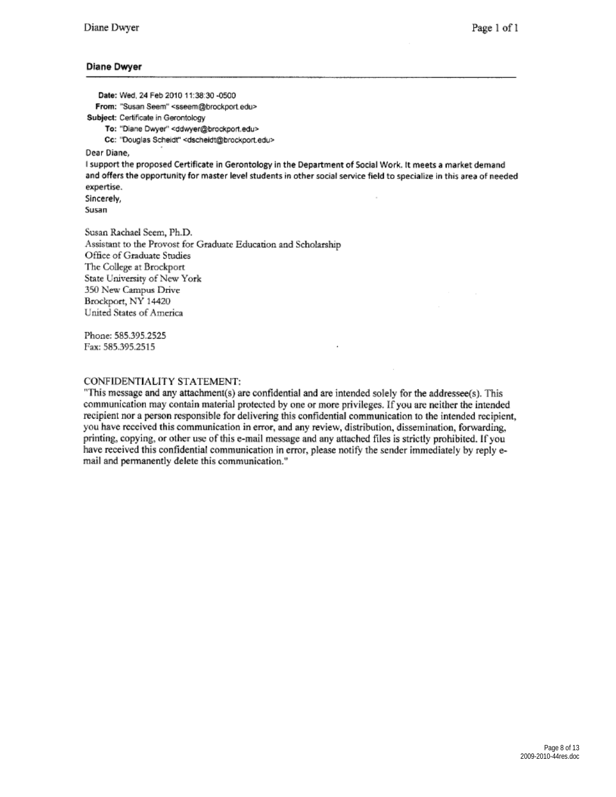#### **Diane Dwyer**

**Date:** Wed, 24 Feb 2010 11:38:30 -0500 From: "Susan Seem" <sseem@brockport.edu> Subject: Certificate in Gerontology To: "Diane Dwyer" <ddwyer@brockport.edu> Cc: "Douglas Scheidt" <dscheidt@brockport.edu>

Dear Diane,

I support the proposed Certificate in Gerontology in the Department of Social Work. It meets a market demand and offers the opportunity for master level students in other social service field to specialize in this area of needed expertise.

Sincerely, :SUsan

Susan Rachael Seem, Ph.D. Assistant to the Provost for Graduate Education and Scholarship Office of Graduate Studies The College at Brockport State University of New York 350 New Campus Drive Brockport, NY 14420 United States of America

Phone: 585.395.2525 Fax: 585.395.2515

#### CONFIDENTIALITY STATEMENT:

"This message and any attachment(s) are confidential and are intended solely for the addressee(s). This communication may contain material protected by one or more privileges. If you are neither the intended recipient nor a person responsible for delivering this confidential communication to the intended recipient, you have received this communication in error, and any review, distribution, dissemination, forwarding, printing, copying, or other use of this e-mail message and any attached files is strictly prohibited. If you have received this confidential communication in error, please notify the sender immediately by reply email and pennanently delete this communication."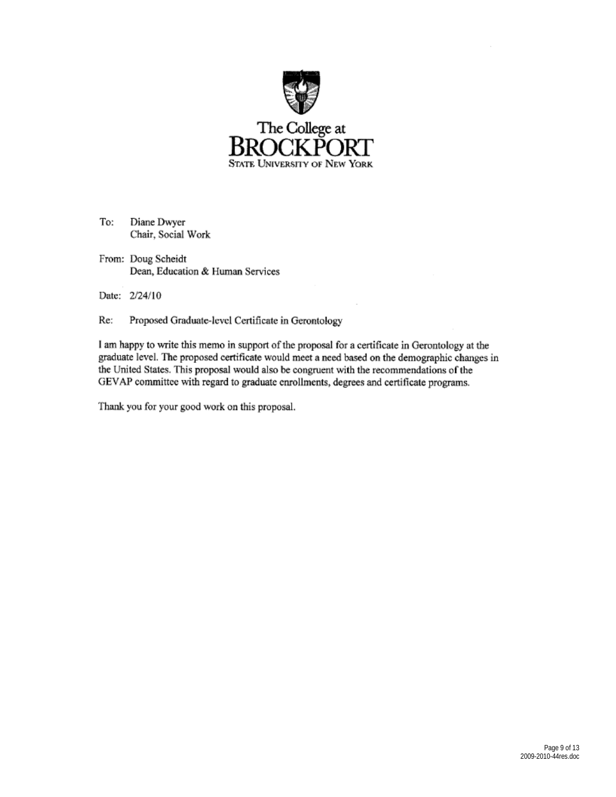



To; Diane Dwyer Chair, Social Work

From: Doug Scheidt Dean, Education & Human Services

Date: 2/24/10

Re: Proposed Graduate-level Certificate in Gerontology

I am happy to write this memo in support of the proposal for a certificate in Gerontology at the graduate level. The proposed certificate would meet a need based on the demographic changes in the United States. This proposal would also be congruent with the recommendations of the GEV AP committee with regard to graduate enrollments, degrees and certificate programs.

Thank you for your good work on this proposal.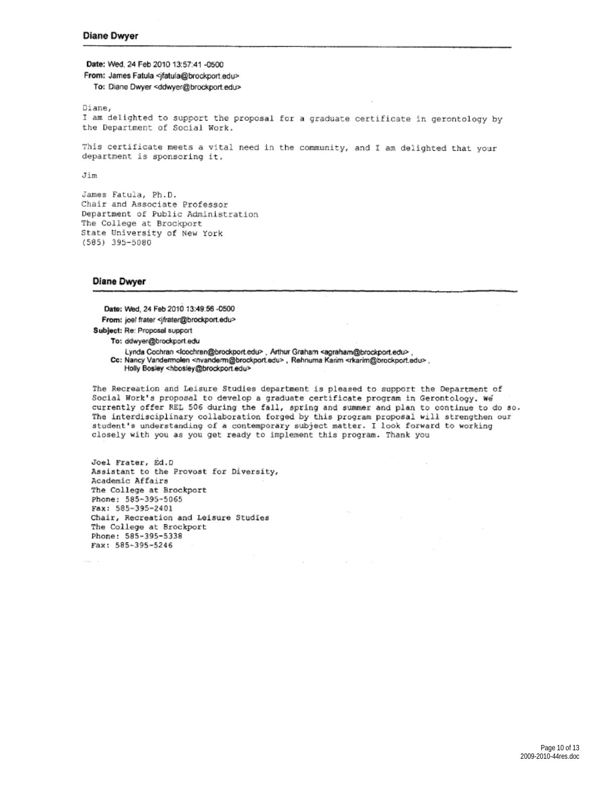**Date:** Wed. 24 Feb 2010 13:57:41 -0500

From: James Fatula <jfatula@brockport.edu> To: Diane Dwyer <ddwyer@brockportedu>

Diane,

I am delighted to support the proposal for a graduate certificate in gerontology by the Department of Social Work.

This certificate meets a vital need in the community, and I am delighted that your<br>department is sponsoring it.

Jim

James Fatula, Ph.D. Chair and Associate Professor Department of Public Administration<br>The College at Brockport State University of New York (585) 395- 5080

#### **Diane Dwyer**

Date: Wed. 24 Feb 2010 13:49:56 -0500 From: joel frater <jfrater@brockport.edu> Subject: Re: Proposal support

To: ddwyet@brockport.edu

Lynda Cochran <lcochran@brockport.edu> . Arthur Graham <agraham@brockport.edu> Cc: Nancy Vandermolen <nvanderm@brockport.edu>, Rehnuma Karim <rkarim@brockport.edu>, Holly Bosley <hbosiey@brockport.edu>

The Recreation and Leisure Studies department is pleased to support the Department of<br>Social Work's proposal to develop a graduate certificate program in Gerontology. We currently offer REL 506 during the fall, spring and summer and plan to continue to do so.<br>The interdisciplinary collaboration forged by this program proposal will strengthen our<br>student's understanding of a contemporary su

Joel Frater, Ed.O Assistant to the Provost for Diversity,<br>Academic Affairs The College at Brockport Phone: 585-395-5065<br>Fax: 585-395-2401 Chair, Recreation and Leisure Studies<br>The College at Brockport Phone: 585-395-5338<br>Fax: 585-395-5246

> Page 10 of 13 2009-2010-44res.doc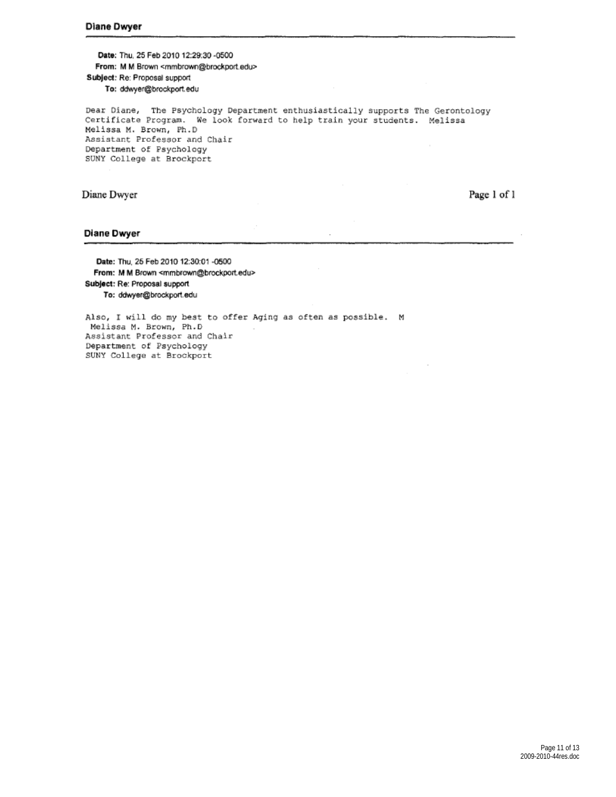**Date:** Thu, 25 Feb 2010 12:29:30 -0500 From: M M Brown <mmbrown@brockport.edu> Subject: Re: Proposal support To: ddwyer@brockport.edu

Dear Diane, The Psychology Department enthusiastically supports The Gerontology Certificate Program. We look forward to help train your students. Melissa Meli ssa M. Brown, Ph.O Assistant Professor and Chair Department of Psychology SUNY College at Brockport

#### Diane Dwyer

Page I of I

#### **Diane Dwyer**

**Dlte:** Thu, 25 Feb 2010 12:30:01 **•0500**  From: M M Brown <mmbrown@brockport.edu> Subject: Re: Proposal support To: ddwyer@brockport.edu

Also, I will do my best to offer Aging as often as possible. M Melissa M. Brown, Ph.D Assistant Professor and Chair Department of Psychol09y SUNY College at Brockport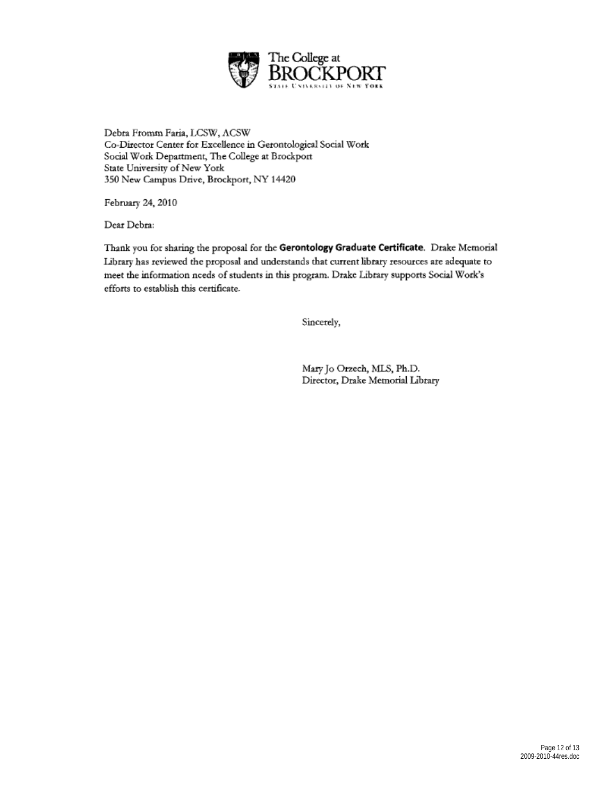

Debta Fromm Faria, LCSW, ACSW Co-Director Center for Excellence in Gerontological Social Work Social Work Department, The College at Brockport State University of New York 350 New Campus Drive, Brockport, NY 14420

February 24, 2010

Dear Debra:

Thank you for sharing the proposal for the **Gerontology Graduate Certificate.** Drake Memorial **Libruy has reviewed the proposal and understands that current library resowces are adequate to**  meet the information needs of students in this program. Drake Library supports Social Work's efforts to establish this certificate.

Sincerely,

Maiy Jo Orzech, MIS, Ph.D. Director, Drake Memorial Library